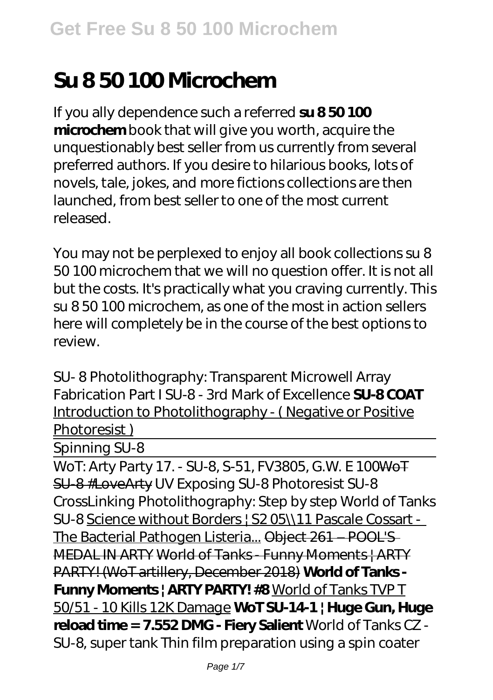## **Su 8 50 100 Microchem**

If you ally dependence such a referred **su 8 50 100 microchem** book that will give you worth, acquire the unquestionably best seller from us currently from several preferred authors. If you desire to hilarious books, lots of novels, tale, jokes, and more fictions collections are then launched, from best seller to one of the most current released.

You may not be perplexed to enjoy all book collections su 8 50 100 microchem that we will no question offer. It is not all but the costs. It's practically what you craving currently. This su 8 50 100 microchem, as one of the most in action sellers here will completely be in the course of the best options to review.

*SU- 8 Photolithography: Transparent Microwell Array Fabrication Part I* SU-8 - 3rd Mark of Excellence **SU-8 COAT** Introduction to Photolithography - ( Negative or Positive Photoresist )

Spinning SU-8

WoT: Arty Party 17. - SU-8, S-51, FV3805, G.W. E 100WoT SU-8 #LoveArty *UV Exposing SU-8* Photoresist SU-8 CrossLinking *Photolithography: Step by step World of Tanks SU-8* Science without Borders | S2 05\\11 Pascale Cossart - The Bacterial Pathogen Listeria... Object 261 – POOL'S MEDAL IN ARTY World of Tanks - Funny Moments | ARTY PARTY! (WoT artillery, December 2018) **World of Tanks - Funny Moments | ARTY PARTY! #8** World of Tanks TVP T 50/51 - 10 Kills 12K Damage **WoT SU-14-1 | Huge Gun, Huge reload time = 7.552 DMG - Fiery Salient** World of Tanks CZ - SU-8, super tank *Thin film preparation using a spin coater*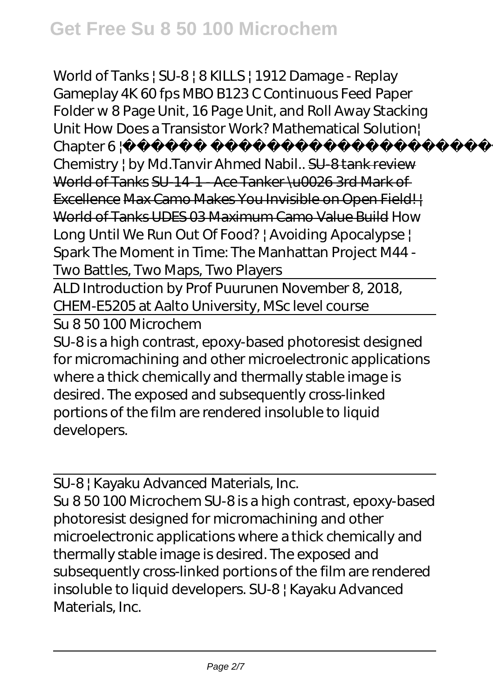*World of Tanks | SU-8 | 8 KILLS | 1912 Damage - Replay Gameplay 4K 60 fps MBO B123 C Continuous Feed Paper Folder w 8 Page Unit, 16 Page Unit, and Roll Away Stacking Unit* How Does a Transistor Work? Mathematical Solution| Chapter 6 | New York | SSC

Chemistry | by Md.Tanvir Ahmed Nabil.. SU-8 tank review World of Tanks SU-14-1 - Ace Tanker \u0026 3rd Mark of Excellence Max Camo Makes You Invisible on Open Field! World of Tanks UDES 03 Maximum Camo Value Build How Long Until We Run Out Of Food? | Avoiding Apocalypse | Spark The Moment in Time: The Manhattan Project *M44 - Two Battles, Two Maps, Two Players*

ALD Introduction by Prof Puurunen November 8, 2018, CHEM-E5205 at Aalto University, MSc level course

Su 8 50 100 Microchem

SU-8 is a high contrast, epoxy-based photoresist designed for micromachining and other microelectronic applications where a thick chemically and thermally stable image is desired. The exposed and subsequently cross-linked portions of the film are rendered insoluble to liquid developers.

SU-8 | Kayaku Advanced Materials, Inc.

Su 8 50 100 Microchem SU-8 is a high contrast, epoxy-based photoresist designed for micromachining and other microelectronic applications where a thick chemically and thermally stable image is desired. The exposed and subsequently cross-linked portions of the film are rendered insoluble to liquid developers. SU-8 | Kayaku Advanced Materials, Inc.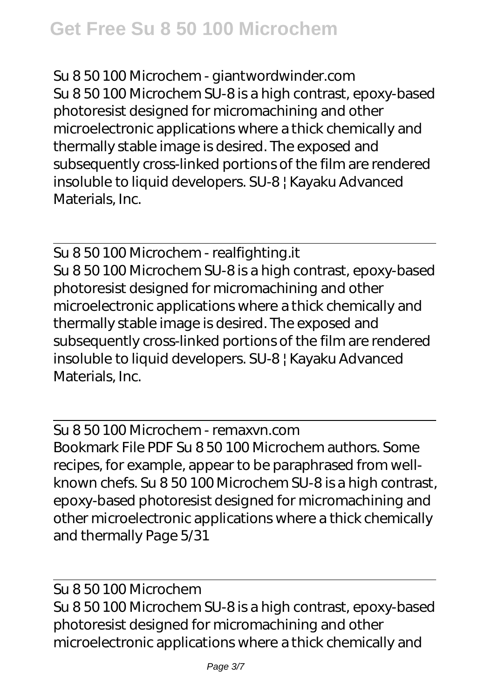Su 8 50 100 Microchem - giantwordwinder.com Su 8 50 100 Microchem SU-8 is a high contrast, epoxy-based photoresist designed for micromachining and other microelectronic applications where a thick chemically and thermally stable image is desired. The exposed and subsequently cross-linked portions of the film are rendered insoluble to liquid developers. SU-8 | Kayaku Advanced Materials, Inc.

Su 8 50 100 Microchem - realfighting.it Su 8 50 100 Microchem SU-8 is a high contrast, epoxy-based photoresist designed for micromachining and other microelectronic applications where a thick chemically and thermally stable image is desired. The exposed and subsequently cross-linked portions of the film are rendered insoluble to liquid developers. SU-8 | Kayaku Advanced Materials, Inc.

Su 8 50 100 Microchem - remaxvn.com Bookmark File PDF Su 8 50 100 Microchem authors. Some recipes, for example, appear to be paraphrased from wellknown chefs. Su 8 50 100 Microchem SU-8 is a high contrast, epoxy-based photoresist designed for micromachining and other microelectronic applications where a thick chemically and thermally Page 5/31

Su 8 50 100 Microchem Su 8 50 100 Microchem SU-8 is a high contrast, epoxy-based photoresist designed for micromachining and other microelectronic applications where a thick chemically and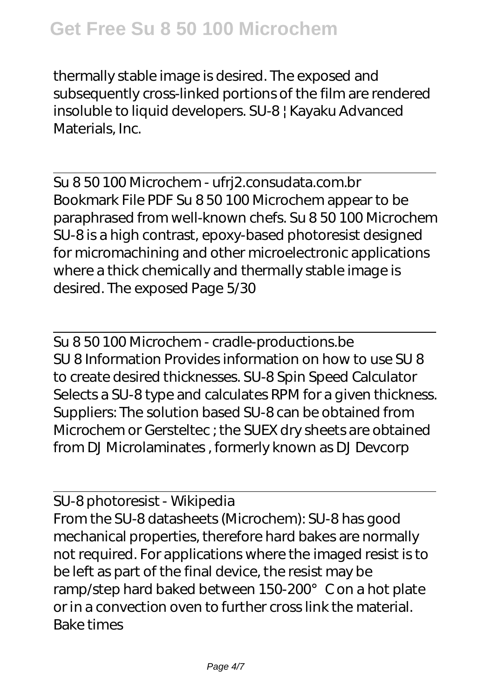thermally stable image is desired. The exposed and subsequently cross-linked portions of the film are rendered insoluble to liquid developers. SU-8 | Kayaku Advanced Materials, Inc.

Su 8 50 100 Microchem - ufrj2.consudata.com.br Bookmark File PDF Su 8 50 100 Microchem appear to be paraphrased from well-known chefs. Su 8 50 100 Microchem SU-8 is a high contrast, epoxy-based photoresist designed for micromachining and other microelectronic applications where a thick chemically and thermally stable image is desired. The exposed Page 5/30

Su 8 50 100 Microchem - cradle-productions.be SU 8 Information Provides information on how to use SU 8 to create desired thicknesses. SU-8 Spin Speed Calculator Selects a SU-8 type and calculates RPM for a given thickness. Suppliers: The solution based SU-8 can be obtained from Microchem or Gersteltec ; the SUEX dry sheets are obtained from DJ Microlaminates , formerly known as DJ Devcorp

SU-8 photoresist - Wikipedia From the SU-8 datasheets (Microchem): SU-8 has good mechanical properties, therefore hard bakes are normally not required. For applications where the imaged resist is to be left as part of the final device, the resist may be ramp/step hard baked between 150-200°C on a hot plate or in a convection oven to further cross link the material. Bake times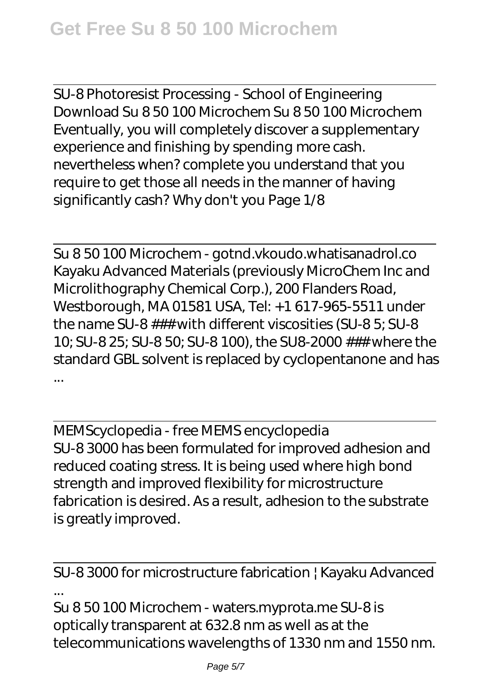SU-8 Photoresist Processing - School of Engineering Download Su 8 50 100 Microchem Su 8 50 100 Microchem Eventually, you will completely discover a supplementary experience and finishing by spending more cash. nevertheless when? complete you understand that you require to get those all needs in the manner of having significantly cash? Why don't you Page 1/8

Su 8 50 100 Microchem - gotnd.vkoudo.whatisanadrol.co Kayaku Advanced Materials (previously MicroChem Inc and Microlithography Chemical Corp.), 200 Flanders Road, Westborough, MA 01581 USA, Tel: +1 617-965-5511 under the name SU-8 ### with different viscosities (SU-8 5; SU-8 10; SU-8 25; SU-8 50; SU-8 100), the SU8-2000 ### where the standard GBL solvent is replaced by cyclopentanone and has ...

MEMScyclopedia - free MEMS encyclopedia SU-8 3000 has been formulated for improved adhesion and reduced coating stress. It is being used where high bond strength and improved flexibility for microstructure fabrication is desired. As a result, adhesion to the substrate is greatly improved.

SU-8 3000 for microstructure fabrication | Kayaku Advanced ... Su 8 50 100 Microchem - waters.myprota.me SU-8 is optically transparent at 632.8 nm as well as at the

telecommunications wavelengths of 1330 nm and 1550 nm.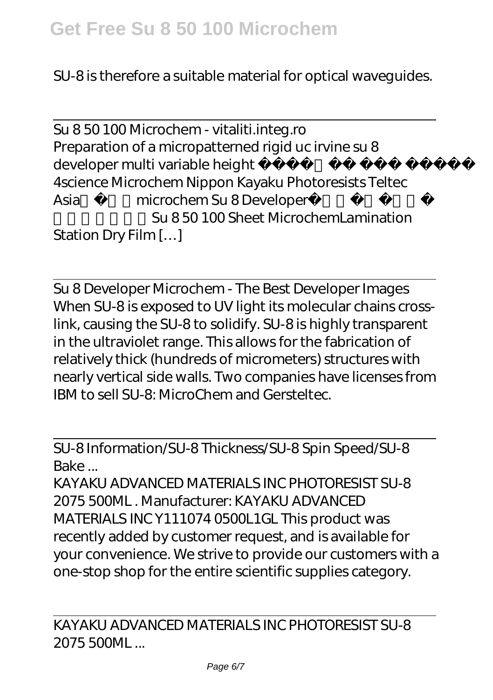SU-8 is therefore a suitable material for optical waveguides.

Su 8 50 100 Microchem - vitaliti.integ.ro Preparation of a micropatterned rigid uc irvine su 8 developer multi variable height 4science Microchem Nippon Kayaku Photoresists Teltec Asia microchem Su 8 Developer Su 8 50 100 Sheet MicrochemLamination Station Dry Film […]

Su 8 Developer Microchem - The Best Developer Images When SU-8 is exposed to UV light its molecular chains crosslink, causing the SU-8 to solidify. SU-8 is highly transparent in the ultraviolet range. This allows for the fabrication of relatively thick (hundreds of micrometers) structures with nearly vertical side walls. Two companies have licenses from IBM to sell SU-8: MicroChem and Gersteltec.

SU-8 Information/SU-8 Thickness/SU-8 Spin Speed/SU-8 Bake ...

KAYAKU ADVANCED MATERIALS INC PHOTORESIST SU-8 2075 500ML . Manufacturer: KAYAKU ADVANCED MATERIALS INC Y111074 0500L1GL This product was recently added by customer request, and is available for your convenience. We strive to provide our customers with a one-stop shop for the entire scientific supplies category.

KAYAKU ADVANCED MATERIALS INC PHOTORESIST SU-8 2075 500ML ...